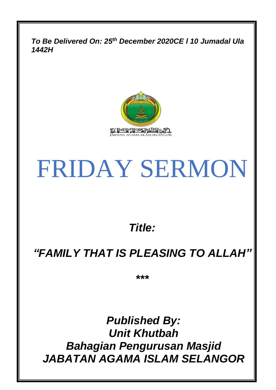*To Be Delivered On: 25th December 2020CE l 10 Jumadal Ula 1442H*



# FRIDAY SERMON

*Title:*

## *"FAMILY THAT IS PLEASING TO ALLAH"*

*\*\*\**

*Published By: Unit Khutbah Bahagian Pengurusan Masjid JABATAN AGAMA ISLAM SELANGOR*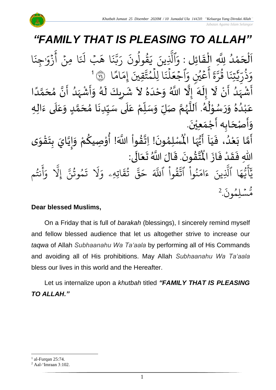#### *Jabatan Agama Islam Selangor "FAMILY THAT IS PLEASING TO ALLAH"* .<br>با ن<br>ا اَلْحَمْدُ لِلَّهِ الْقَائِلِ : وَٱلَّذِينَ يَقُولُونَ رَبَّنَا هَبْ لَنَا مِنْ أَزْوَاجِنَا و<br>ا **ٔ** ه<br>لم  $\overline{\phantom{a}}$ ح ֦֧֦֧֦֧֦֧֦֦֦֜֜֜֜֜֜֜֜<br>**֦֜** ڑ<br>ل  $\overline{\phantom{a}}$  $\frac{1}{2}$ ْ  $\ddot{\cdot}$ ِجن  $\frac{1}{\alpha}$ و  $\ddot{\cdot}$ ز ِ<br>ج أ ؚ<br>ٛ  $\ddot{\cdot}$  $\tilde{t}$ َل بۡ َ ا ه  $\ddot{\cdot}$ ن ین<br>د بت<br>ب ِرِ ر  $\ddot{\cdot}$ قولون  $\frac{1}{\sqrt{2}}$ ور  $\tilde{\cdot}$ ي ِينَ بة<br>1 ٱَّل َ<br>م و ا  $\frac{2}{3}$ ام  $\frac{1}{2}$ ۔<br>تَقِينَ إِمَ ت م ا لِل و ہ<br>1  $\ddot{\cdot}$ ن ل ۔<br>ا ं<br>-اجُعَ ر<br>م .<br>م عَيْنِ وَا و<br>م ر<br>م ر<br>ج أ ្ត  $\frac{1}{2}$ ن<br>ند وَذُرِّيَّتِنَا قُرَّةَ أَعْيُنِ وَآَجْعَلَنَا لِلَمُتَّقِينَ إِمَامًا ۞ أ ور  $\ddot{\cdot}$ تِن ذَٰ بة<br>ب ِ ں<br>ا ر<br>ر ُو<br>په ذ  $\frac{1}{c}$ ے<br>ت ِ<br>أَنْ لَا إِلَهَ إِلَّا اللَّهُ وَحْدَهُ لاَ شَرِيكَ لَهُ وَأَشْهَدُ أَنَّ مُحَمَّدًا ំ<br>• ِ<br>پنج .<br>و لم بة<br>مراجع ر<br>مه ۔<br>فہ ش ر<br>م أ ر<br>-<br>آ  $\check{\mathbf{r}}$  $\frac{1}{2}$ ا<br>م<br>•  $\frac{1}{2}$ ر<br>ا ر<br>زن ْ  $\frac{1}{2}$  $\tilde{\cdot}$ ي<br>م َ ِ  $\ddot{\phantom{0}}$ ..<br>په ِ<br>ٌمُ  $\frac{1}{1}$  $\tilde{\cdot}$ ا<br>ا ً<br>ا ر<br>آ ๋<br>ጎ .<br>سُوْلُهُ. اَللَّهُمَّ صَلِّ وَسَلِّمْ عَلَى سَيِّدِنَا مُحَمَّدٍ وَعَلَى ءَالِهِ  $\ddot{\cdot}$ َ<br>آ .<br>ح  $\tilde{\cdot}$ <u>لم</u> ِ<br>ما .<br>م  $\ddot{\phantom{0}}$  $\frac{1}{2}$  $\frac{1}{2}$ ۔<br>آ ً<br>م ِّ<br>ا  $\overline{r}$  $\tilde{\cdot}$ لة<br>م و<br>ر<br>ر نج<br>آا َ ءِ<br>ھ  $\ast$ ់<br>^ و<br>م  $\tilde{\cdot}$ ر  $\tilde{\cdot}$ و  $\frac{2}{\lambda}$ ه ۷<br>م لم ់<br>រ ب .<br>م ع .<br>وَأَصْحَابِه أَجْمَعِيْنَ.  $\overline{\phantom{a}}$ د<br>پن  $\tilde{\cdot}$  $\ddot{\phantom{0}}$ ّٰ  $\frac{1}{\sqrt{2}}$ ر<br>پنج لْمُبْلِمُونَ! اِتَّقُواْ اللَّهَ! أُوْصِيكُمْ وَإِيَّايَ بِتَقْوَى  $\frac{1}{2}$ ֦֧֦֧֦֧֦֧<u>֦</u>  $\frac{1}{2}$ **ر**<br>: ا<br>ا  $\frac{1}{2}$  $\tilde{\cdot}$ <u>و</u> ֦֧֦֘֝ **ہ**<br>: ْ  $\frac{9}{4}$ الة  $\ddot{\phantom{0}}$ ›<br>ለ أَمَّا بَعْدُ، فَيَاۤ أَيُّهَا الْمُ م<br>ما ُ<br>ُرو<br> ب<br>ج َ  $\frac{1}{2}$ و<br>ا ْ َ<br>ِمَ ۔<br>م ر<br>پنج ِّ<br>مُ اْل از ف د ق ِهللا ف ى: ال ع ت الَ َّللا <sup>ا</sup> ُ .ق ون ق ت  $\frac{1}{2}$  $\ddot{\cdot}$ ْ  $\frac{1}{2}$ -<br>∶• لا<br>آ  $\overline{\phantom{a}}$ ئے<br>ج ا<br>نا  $\ddot{\cdot}$ ا<br>من سم<br>الما م و<br>په نت ِ<br>ج أ ر<br>م و بة<br>1 َِل إ بر<br>م مُوتَنَّ ور و  $\ddot{\cdot}$ نَّذ<br>ت ر<br>1 َل  $\frac{1}{2}$ اتِهِۦ و  $\ddot{\Omega}$ ؞ؘٛؿۧ و<br>په لية<br>م قی  $\overline{\phantom{a}}$ ح ذَ قَوا اللَّهَ ا<br>ا ور رن<br>به ٱت ا<br>ا نموا ُو<br>و  $\frac{1}{2}$ ام  $\tilde{\epsilon}$ ء ِينَ بة<br>1 ا الَّذِ  $\frac{1}{4}$ ه و<br>د سَ<br>ڊ ۔<br>ع  $\overline{\phantom{a}}$ َ<br>د د  $\ddot{\cdot}$ ون و لِم  $\ddot{\phantom{0}}$ س و<br>مم مُّسَٰلِمُونَ. 2

#### **Dear blessed Muslims,**

On a Friday that is full of *barakah* (blessings), I sincerely remind myself and fellow blessed audience that let us altogether strive to increase our *taqwa* of Allah *Subhaanahu Wa Ta'aala* by performing all of His Commands and avoiding all of His prohibitions. May Allah *Subhaanahu Wa Ta'aala* bless our lives in this world and the Hereafter.

Let us internalize upon a *khutbah* titled *"FAMILY THAT IS PLEASING TO ALLAH."*

 $<sup>1</sup>$  al-Furqan 25:74.</sup>

<sup>2</sup> Aal-'Imraan 3:102.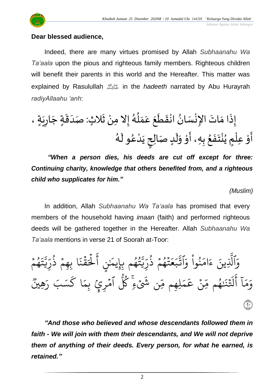

Indeed, there are many virtues promised by Allah *Subhaanahu Wa Ta'aala* upon the pious and righteous family members. Righteous children will benefit their parents in this world and the Hereafter. This matter was explained by Rasulullah صلى الله عليه وسلم in the *hadeeth* narrated by Abu Hurayrah *radiyAllaahu 'anh*:

ة، ٍ َ ي ِ ار ة جَ ٍ َ ق َ د ث:صَ ٍ ال َ ث ْ ِ َل ِمن إ ُ ه ُ ل َ م َ ع َ ع َ ط َ ق ْ ان ُ ان سَ ْ ِإلن ا اتَ َ ام َ ِذ إ َ ت ْ ن ُ ٍم ي ْ ِعل ْ و َ أ ُ ه َ و ل ُ ع ْ د َ ي ٍ ِلح ا دصَ ٍ َ ل َ و ْ و َ ِ ِه، أ ب ُ ع َ ف

*"When a person dies, his deeds are cut off except for three: Continuing charity, knowledge that others benefited from, and a righteous child who supplicates for him."*

*(Muslim)*

In addition, Allah *Subhaanahu Wa Ta'aala* has promised that every members of the household having *imaan* (faith) and performed righteous deeds will be gathered together in the Hereafter. Allah *Subhaanahu Wa Ta'aala* mentions in verse 21 of Soorah at-Toor:

َ<br>م نُوا وَا ُ<br>ا ُو<br>و  $\frac{1}{\epsilon}$ ام  $\tilde{\zeta}$ ء ِينَ بة<br>1 ٱَّل َ<br>م و  $\frac{1}{2}$ م و و<br><del>ل</del>م  $\tilde{\cdot}$ ت ن<br>د ، ،ة<br>ِ<br>ِب ں<br>س ر ذ ِِهم ا ب و<br>په  $\frac{1}{2}$  $\ddot{\cdot}$ ؞ۧ<br>ۿؘۮؘ  $\frac{2}{1}$ ِ<br>د ہ<br>1.  $\Rightarrow$ ِ<br>ج أ ;<br>≥ ِ<br>مَٰن شُهُم بِإِيمَٰ و<br>م و<br>په یر<br>د ِ<br>يد<br>ِ ں<br>س دوء ڏُرّ و<br>په  $\frac{1}{2}$ و<br>م  $\ddot{\phantom{0}}$  $\frac{1}{2}$ ع  $\overline{a}$ بر لية<br>مع ٱت وو<br>م هُِي ِرِ ۔<br>کَسَبَ رَ ا ك  $\frac{1}{2}$ ٱمۡرِيۡ بِمَ  $\frac{1}{2}$ ور<br>کا ِ<br>يِّن شَيْءٍ كُلُّ **ہ** لِمِم مِّ  $\frac{1}{2}$ م ِ<br>م ع ِن <u>ہ</u> ىد<br>م و<br>ھم قِّ و<br>م  $\ddot{\cdot}$ بَذ  $\ddot{\cdot}$  $\tilde{1}$ <u>اء</u> ا<br>ج أ  $\tilde{1}$ ا  $\frac{1}{\epsilon}$ بر<br>م  $\frac{1}{c}$ و ٢٠

*"And those who believed and whose descendants followed them in faith - We will join with them their descendants, and We will not deprive them of anything of their deeds. Every person, for what he earned, is retained."*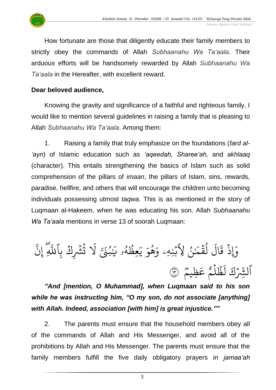

How fortunate are those that diligently educate their family members to strictly obey the commands of Allah *Subhaanahu Wa Ta'aala*. Their arduous efforts will be handsomely rewarded by Allah *Subhaanahu Wa Ta'aala* in the Hereafter, with excellent reward.

#### **Dear beloved audience,**

Knowing the gravity and significance of a faithful and righteous family, I would like to mention several guidelines in raising a family that is pleasing to Allah *Subhaanahu Wa Ta'aala*. Among them:

1. Raising a family that truly emphasize on the foundations (*fard al- 'ayn*) of Islamic education such as *'aqeedah, Sharee'ah,* and *akhlaaq* (character). This entails strengthening the basics of Islam such as solid comprehension of the pillars of *imaan*, the pillars of Islam, sins, rewards, paradise, hellfire, and others that will encourage the children unto becoming individuals possessing utmost *taqwa*. This is as mentioned in the story of Luqmaan al-Hakeem, when he was educating his son. Allah *Subhaanahu Wa Ta'aala* mentions in verse 13 of soorah Luqmaan:

ب<br>ب ِ إِنَّ إ بة<br>ا لَا تُشۡرِكۡ بِٱللَّهِ ہ<br>و و<br>په ت مَنتِي لَا و<br>. َٰ ِ<br>په <u>م</u>طَّهُو يَا و<br>ط و<br>و  $\tilde{\cdot}$ ي ِ<br>م و ه و<br>ج  $\frac{1}{\alpha}$ ِ<br>مَنُ لِأَبۡنِهِۦ وَ<sub>َ</sub>  $\ddot{\phantom{0}}$ ُ لقَمَا  $\ddot{\ddot{\cdot}}$ ر<br>ا  $\tilde{t}$ ال  $\ddot{\phantom{0}}$ وَإِذْ قَ  $\ddot{\cdot}$ وو<br>م ِظيم ِ<br>م ع و<br>م م ل ظ ہ<br>1 و<br>د .<br>آ ل ِ<br>د ٱلثِّرۡكَ لَظُلَّمَ عَظِيمٌ ﴾ **ہ** 

*"And [mention, O Muhammad], when Luqmaan said to his son while he was instructing him, "O my son, do not associate [anything] with Allah. Indeed, association [with him] is great injustice.""*

2. The parents must ensure that the household members obey all of the commands of Allah and His Messenger, and avoid all of the prohibitions by Allah and His Messenger. The parents must ensure that the family members fulfill the five daily obligatory prayers in *jamaa'ah*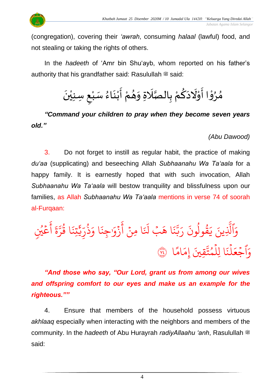

(congregation), covering their *'awrah*, consuming *halaal* (lawful) food, and not stealing or taking the rights of others.

In the *hadeeth* of 'Amr bin Shu'ayb, whom reported on his father's authority that his grandfather said: Rasulullah  $\ddot{\mathcal{Z}}$  said:



*"Command your children to pray when they become seven years old."*

*(Abu Dawood)*

3. Do not forget to instill as regular habit, the practice of making *du'aa* (supplicating) and beseeching Allah *Subhaanahu Wa Ta'aala* for a happy family. It is earnestly hoped that with such invocation, Allah *Subhaanahu Wa Ta'aala* will bestow tranquility and blissfulness upon our families, as Allah *Subhaanahu Wa Ta'aala* mentions in verse 74 of soorah al-Furqaan:

<u>ځينې</u> و<br>م ہ<br>م ِ<br>ج أ  $\ddot{\tilde{}}$  $\frac{1}{2}$ ن<br>م ر ا ق و<br>په  $\ddot{\cdot}$ تِن ي ِ ذَٰ ں<br>س ر ذ ُمبر  $\frac{1}{\alpha}$ ا و  $\ddot{\cdot}$ ِجن  $\frac{1}{\alpha}$ زَوْر <u>ہ</u> ِ<br>ج أ ہ<br>• ا ِمن  $\ddot{\cdot}$  $\overline{\mathbf{t}}$ َل بۡ َ ا ه  $\ddot{\cdot}$ ن ن<br>د بت<br>ب  $\overline{a}$ ر  $\ddot{\phantom{0}}$ قولون  $\frac{1}{\sqrt{2}}$ ور د  $\tilde{\cdot}$ ِ<br>ينَ يَ ن<br>أ ٱَّل َ<br>م و ا ً<br>م<br>م ام  $\frac{1}{2}$ تَّ<u>قِينَ</u> إِمَ ت م ا لِل و ہ<br>آ  $\ddot{\cdot}$ ن ل ہ<br>آ  $\frac{1}{2}$ وَٱجْعَلْنَا لِلْمُتَّقِينَ إِمَامًا ۞  $\frac{1}{2}$ 

*"And those who say, "Our Lord, grant us from among our wives and offspring comfort to our eyes and make us an example for the righteous.""*

4. Ensure that members of the household possess virtuous *akhlaaq* especially when interacting with the neighbors and members of the community. In the *hadeeth* of Abu Hurayrah *radiyAllaahu 'anh*, Rasulullah <sup>28</sup> said: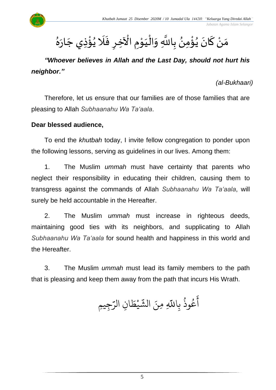#### ْ مَنْ كَانَ يُؤْمِنُ بِاللَّهِ وَالْيَوْمِ الْآخِرِ فَلَا يُؤْذِي جَارَهُ  $\frac{1}{2}$ ์<br>-<br>-<u>ر</u><br>: ُ<br>پ ់<br>: ُ<br>پ  $\ddot{\phantom{0}}$ اتا<br>ا  $\frac{1}{2}$ ْ ֦֦֝<br>**֧** َ ֦֧֦֧֦֧֦֧֦֧֦֧֦֧֦֧֦֧֜֜֓֓<br>**֧** ।<br>∕  $\frac{1}{2}$ <u>ر</u>  $\ddot{\phantom{0}}$  $\overline{\phantom{a}}$ ់<br>: ُ<br>په ِ<br>ٌ  $\frac{1}{2}$

## *"Whoever believes in Allah and the Last Day, should not hurt his neighbor."*

*(al-Bukhaari)*

 *Jabatan Agama Islam Selangor*

Therefore, let us ensure that our families are of those families that are pleasing to Allah *Subhaanahu Wa Ta'aala*.

### **Dear blessed audience,**

To end the *khutbah* today, I invite fellow congregation to ponder upon the following lessons, serving as guidelines in our lives. Among them:

1. The Muslim *ummah* must have certainty that parents who neglect their responsibility in educating their children, causing them to transgress against the commands of Allah *Subhaanahu Wa Ta'aala*, will surely be held accountable in the Hereafter.

2. The Muslim *ummah* must increase in righteous deeds, maintaining good ties with its neighbors, and supplicating to Allah *Subhaanahu Wa Ta'aala* for sound health and happiness in this world and the Hereafter.

3. The Muslim *ummah* must lead its family members to the path that is pleasing and keep them away from the path that incurs His Wrath.

ِّعُوذُ بِاللَّهِ مِنَ و<br>په و<br>م ِ<br>ج آعُوذُ بِاللَّهِ مِنَ الشَّيْطَانِ الرَّجِيمِ ِ<br>س ِن الر ا  $\tilde{\xi}$ يْطَ **ٔ** ِ<br>په الش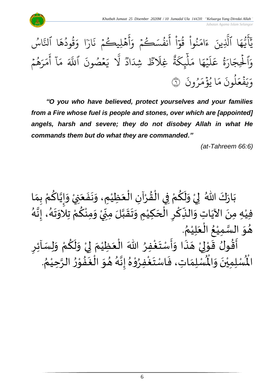

*"O you who have believed, protect yourselves and your families from a Fire whose fuel is people and stones, over which are [appointed] angels, harsh and severe; they do not disobey Allah in what He commands them but do what they are commanded."*

*(at-Tahreem 66:6)*

ْ بَارَكَ اللّهُ ۖ لِيْ وَلَكُمْ فِي الْقُرْآنِ الْعَظِيْمِ، وَنَفَعَنِيْ وَإِيَّاكُمْ بِمَا َ  $\ddot{\cdot}$  $\ddot{\phantom{0}}$  $\frac{1}{2}$ ْ َ ْ ْ  $\frac{9}{4}$ ֦֧֦֧֦֧֦֧֦֧֦֜֜֜֜֜֜֜<br>֧֝֜֜֜֜֜֜֜֜֜֜֜֞֟ ْ <u>ہ</u>  $\tilde{\mathbf{r}}$  $\frac{1}{2}$ ْ  $\frac{1}{2}$  $\ddot{\phantom{0}}$  $\frac{1}{2}$ ْ ِ<br>م اتا<br>م  $\frac{1}{2}$  $\tilde{\cdot}$ —<br>}<br>| .<br>فِيْهِ مِنَ الآيَاتِ وَالنِّكْرِ الْحَكِيْمِ وَتَقَبَّلَ مِنِّيْ وَمِنْكُمْ تِلَاوَتَهُ، إِنَّهُ اس<br>تار ।<br>-<br>-—<br>}<br>1  $\ddot{\phantom{0}}$ ن<br>اس ْ ر<br>م ا<br>فيل<br>فيلا ∕<br>^ ֧<u>֚</u> ְ<br>ֳ<br>∙  $\sum$ ا<br>ما  $\frac{1}{2}$  $\ddot{\phantom{0}}$ ا<br>د ْ  $\overline{\phantom{a}}$ ا<br>المراجع ِ ا<br>د ِ<br>پہ  $\frac{1}{2}$ ِ<br>پُ  $\frac{1}{2}$ ْ . <sub>ይ</sub> هُوَ السَّمِيْعُ الْعَلِيْمُ `<br>'  $\frac{1}{2}$ ا<br>أ .<br>१ ْ سه<br>تا  $\frac{1}{2}$  $\frac{1}{2}$ ∫<br>∕ مَسْرِينِ حَسِّينٍ<br>أَقُولُ قَوْلِيْ هَذَا وَأَسْتَغْفِرُ اللّهَ الْعَظِيْمَ لِيْ وَلَكُمْ وَلِسَائِرِ ِ<br>وفيات  $\ddot{\phantom{0}}$  $\frac{1}{2}$  $\tilde{\cdot}$ َ َ ْ لمح ֦֧<sup>֦</sup>  $\frac{1}{2}$  $\frac{9}{2}$ ا<br>: <u>ر</u>  $\tilde{\cdot}$ ْ <u>ل</u>و  $\tilde{\mathbf{r}}$  $\tilde{\cdot}$ ْ إ  $\frac{1}{2}$ ْ  $\overline{\phantom{a}}$ ْ . ፟<br>፞ وي هذا واسْتَغْفِرُوْهُ إِنَّهُ هُوَ الْغَفُوْرُ اللَّهِ عَمَلِهِمْ وَبِسَهْ وَبِسَهْ<br>لَمُسْلِمَاتِ، فَاسْتَغْفِرُوْهُ إِنَّهُ هُوَ الْغَفُوْرُ الرَّحِيْمُ ر<br>د ا<br>تار ۔<br>ڊ י<br>י ِ<br>په  $\frac{3}{4}$ ا<br>ڈ ์ $\overline{\phantom{a}}$  $\frac{1}{2}$ —<br>}<br>1 ا<br>با<br>: ।<br>-<br>- $\frac{1}{2}$ ֦֧֦֧֦ **ہ**<br>د ا<br>ابر<br>ا  $\ddot{\ }$  $\frac{1}{2}$  $\frac{1}{2}$ اقوں قو<br>لْمُنْلِمِيْنَ وَالْمُ  $\frac{1}{2}$ ا<br>. ر<br>د الْم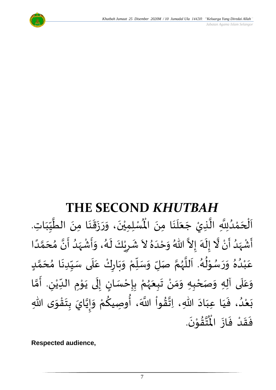

# **THE SECOND** *KHUTBAH*

 $\frac{1}{1}$ للدين المكتبة<br>السُّلِمِيْنَ، وَرَزَقَنَا مِنَ الطَّيِّبَة  $\frac{1}{2}$ ِّ ا<br>ا ।<br>◆<br>◆ —<br>-<br>•  $\frac{1}{2}$  $\ddot{\phantom{0}}$  $\frac{1}{2}$  $\frac{1}{2}$ ।<br>◆<br>◆ ْ اَلْحَمْدُلِلَّهِ الَّذِيْ جَعَلَنَا مِنَ الْمُسْلِمِيْنَ، وَرَزَقَنَا مِنَ الطَّيِّبَاتِ. َ .<br>∙<br>◆ ر<br>آ  $\frac{1}{2}$  $\ddot{\phantom{0}}$ ا<br>تار<br>ا ا<br>په و<br>و **ٔ**  $\overline{\phantom{a}}$ ֦֧֦֧֦֧֦֧֦֧֦֧֦֧֦֜֜֓֓֓֟֓֟֓֟֓֟֓<br>֧֝֜֜**֓**  $\overline{\phantom{a}}$ ا<br>الم أَشْهَدُ أَنْ لَّا إِلَهَ إِلاَّ اللّهُ وَحْدَهُ لاَ شَرِيْكَ لَهُ، وَأَشْهَدُ أَنَّ مُحَمَّدًا ់<br>•  $\tilde{\mathbf{z}}$ و<br>ا  $\frac{1}{2}$ ْ  $\tilde{\mathbf{z}}$ الع َ<br>پر  $\tilde{\cdot}$  $\frac{1}{2}$  $\lambda$  $\frac{2}{\lambda}$ َ<br>ا  $\frac{1}{2}$ ً<br>ا ت<br>م َ  $\frac{1}{2}$ ا<br>•<br>• ا<br>ب ر<br>ا  $\frac{1}{2}$ ْ  $\frac{1}{2}$  $\frac{1}{2}$ ر<br>گ  $\tilde{\mathbf{r}}$ ْ ِ  $\frac{1}{2}$ عَبْدُهُ وَرَسُوْلُهُ. اَللَّهُمَّ صَلِّ وَسَلِّمْ وَبَارِكْ عَلَى سَيِّدِنَا مُحَمَّدٍ <u>لم</u> ن<br>م  $\overline{\phantom{a}}$  $\frac{1}{2}$ ्<br>-<br>• ِّ  $\frac{1}{2}$  $\frac{1}{1}$ ِ<br>م ر<br>و  $\ddot{\phantom{0}}$  $\frac{1}{2}$ ْ ِّ  $\frac{1}{2}$  $\frac{1}{2}$ ن<br>م و<br>ر ا<br>آ  $\overline{\phantom{a}}$ و<br>گ  $\frac{1}{2}$ ּ<br>י و<br>د د  $\frac{1}{2}$  $\frac{1}{2}$  $\frac{1}{2}$ .<br>و ْ ر<br>م وَعَلَى آلِهِ وَصَحْبِهِ وَمَنْ تَبِعَهُمْ بِإِحْسَانٍ إِلَى يَوْمِ الدِّيْنِ. أَمَّا  $\overline{\mathbf{1}}$ .<br>م  $\tilde{\cdot}$ י<br>י  $\ddot{\ }$  $\ddot{\phantom{0}}$ ل ।<br>-<br>-)<br>=<br>= ْ <u>ر</u><br>: ْ ر<br>ر<br>ر َ  $\ddot{\phantom{0}}$ ْ  $\frac{1}{2}$  $\frac{1}{2}$ ֦֧<u>֦</u> ن<br>م ا<br>:<br>: ِ ٝ<br>ۣ<br>ؙ  $\frac{1}{\sqrt{2}}$ ى ِهللا و ق ت ب ايَ ي إ و م وِصيك ، أ َّللا اَ وا ق ِهللا، ِات اد ِعب ا ي ، ف د ع ب  $\ddot{\ }$ ֦֧֦֧֦֧֝<u>֦</u>  $\ddot{\phantom{0}}$ **ٍ**<br>-اتا<br>م  $\frac{1}{2}$  $\tilde{\cdot}$ ْ **∕**<br>م ُ<br>وُ ر<br>ا  $\frac{9}{4}$ ا<br>با<br>\*  $\ddot{\phantom{0}}$ َ َ  $\frac{1}{2}$ و<br>و ំ<br>រ  $\ddot{\phantom{0}}$ .  $\ddot{\phantom{0}}$ تقُوْنَ ់<br>្  $\frac{9}{4}$ ان<br>المبد بر<br>مو فَقَدْ فَازَ الْمُ  $\ddot{\phantom{0}}$  $\frac{1}{2}$ **ّ**  $\frac{1}{2}$  $\frac{1}{2}$ 

**Respected audience,**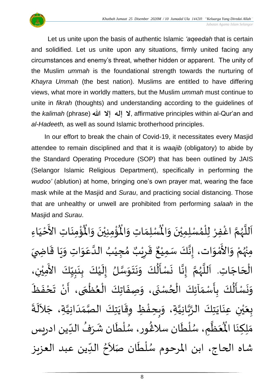

Let us unite upon the basis of authentic Islamic *'aqeedah* that is certain and solidified. Let us unite upon any situations, firmly united facing any circumstances and enemy's threat, whether hidden or apparent. The unity of the Muslim *ummah* is the foundational strength towards the nurturing of *Khayra Ummah* (the best nation). Muslims are entitled to have differing views, what more in worldly matters, but the Muslim *ummah* must continue to unite in *fikrah* (thoughts) and understanding according to the guidelines of the *kalimah* (phrase) **لا إله إلا الله عليه: affirmative principles within al-Qur'an and** *al-Hadeeth,* as well as sound Islamic brotherhood principles.

In our effort to break the chain of Covid-19, it necessitates every Masjid attendee to remain disciplined and that it is *waajib* (obligatory) to abide by the Standard Operating Procedure (SOP) that has been outlined by JAIS (Selangor Islamic Religious Department), specifically in performing the *wudoo'* (ablution) at home, bringing one's own prayer mat, wearing the face mask while at the Masjid and *Surau*, and practicing social distancing. Those that are unhealthy or unwell are prohibited from performing *salaah* in the Masjid and *Surau*.

ؙۊؙ۠ڡؚنَاتِ  $\ddot{\phantom{0}}$ ់<br>:  $\mathbf{r}^{\circ}$ ُؤْمِنِيْنَ وَالْمُ  $\frac{1}{2}$  $\ddot{\phantom{0}}$ ْ <u>់</u> ُْ ِ<br>لْمُسْلِمَاتِ وَالْمُ  $\frac{1}{2}$  $\frac{1}{2}$ اَللَّهُمَّ اغْفِرْ لِلْمُسْلِمِيْنَ وَالْمُسْلِمَاتِ وَالْمُؤْمِنِيْنَ وَالْمُؤْمِنَاتِ الأَخْيَاءِ  $\frac{1}{2}$  $\ddot{\phantom{0}}$ ់<br>រ ๋<br>^ ٝ<br>أ ِ<br>د ا<br>م و<br>ر ا<br>آ ً<br>آ  $\frac{1}{1}$ ْ لا<br>تح ់<br>រ مِنْهُمْ وَالأَمْوَات، إِنَّكَ سَمِيْعٌ قَرِيْبٌ مُجِيْبُ الدَّعَوَاتِ وَيَا بو<br>زر ْ  $\frac{1}{2}$ י<br>י -<br>چ  $\frac{1}{2}$  $\ddot{\phantom{0}}$  $\frac{1}{2}$  $\frac{1}{2}$ ِ<br>م ان<br>ا ُ ْ )<br>ጎ ه<br>د ا ي ر ق <u>ر</u> ا<br>پن ٌ ، إِنَّكَ سَمِيْعٌ قَرِيْبٌ مُجِيْبُ الدَّعَوَاتِ وَيَا قَاضِيَ ْ لة<br>\*  $\frac{1}{2}$  $\frac{1}{2}$  $\ddot{\mathbf{r}}$ الْحَاجَاتِ. اَللَّهُمَّ إِنَّا نَسْأَلُكَ وَنَتَوَسَّلُ إِلَيْكَ بِنَبِيِّكَ الأَمِيْنِ، ْ َ<br>ج ِ<br>∪<br>∎  $\frac{1}{2}$  $\frac{1}{2}$  $\ddot{\phantom{0}}$ <u>ر</u><br>-֦֦֝֝֝<br>֧֝֝֝֝֝**֟**  $\tilde{\mathbf{r}}$ ।<br>-<br>-ان<br>س  $\frac{1}{2}$  $\ddot{\phantom{0}}$  $\ddot{\phantom{0}}$  $\tilde{\cdot}$  $\ddot{\ddot{\cdot}}$  $\frac{1}{2}$  $\ddot{\phantom{0}}$ ن<br>•<br>• ।<br>∶ انا<br>م و<br>ر ا<br>ا َ  $\overline{\phantom{a}}$ ْ<br>ا  $\mathbf{r}$ وَنَسْأَلُكَ بِأَسْمَاَئِكَ الْحُسْنَى، وَصِفَاتِكَ الْعُظْمَى، أَنْ تَحْفَظَ ا<br>نام<br>- $\ddot{\phantom{0}}$ ْ ِ<br>پ ์ ْ }<br>● ֦֧֦֧֦֧֦֧<br>֧֩֩  $\ddot{\phantom{0}}$  $\tilde{\cdot}$  $\ddot{\phantom{0}}$ ٍ<br>ٌ ֦֧֦֧֦֧֦֧֦֧֦֧֦֧֦֧֟֓֓֓<br>**֧**  $\frac{1}{\lambda}$  $\frac{1}{2}$ <u>ر</u> ۔<br>ا  $\frac{1}{2}$  $\ddot{\phantom{0}}$  $\frac{1}{2}$ بِعَيْنِ عِنَايَتِكَ الرَّبَّانِيَّةِ، وَبِحِفْظِ وِقَايَتِكَ الصَّمَدَانِيَّةِ، جَلاَلَةَ ان<br>ا  $\frac{1}{1}$  $\frac{1}{2}$ ان<br>مر  $\ddot{\phantom{0}}$  $\ddot{\mathbf{r}}$ ֦֧֦֦֧֦֧֝<u>֦</u> ِ<br>پ  $\frac{1}{2}$ ا<br>ا ا<br>تاب ان<br>پ  $\overline{\phantom{a}}$  $\ddot{\phantom{0}}$ ់<br>( ه<br>با  $\frac{1}{2}$  $\ddot{\cdot}$ ِ<br>پ  $\sim$ ِ<br>عَظَّمِ، سُلْطَان سلاغُور، سُلْطَان شَرَفُ الدِّين ادريس  $\frac{1}{1}$ ُ  $\ddot{\phantom{0}}$  $\tilde{r}$ ْ ُ<br>ُ }<br>፟<br>፟ ر<br>م بر<br>ا و<br>م ر<br>اتا َ َ<br>مو مَلِكِنَا الْمُ ا<br>با ົ $\tilde{\cdot}$ شاه الحاج، ابن المرحوم سُلْطَان صَلاَحُ الدِّين عبد العزيز  $\frac{1}{\sqrt{2}}$ ُ<br>ِ• ्<br>र ۔<br>نام ا<br>ا ُ<br>ُ'

8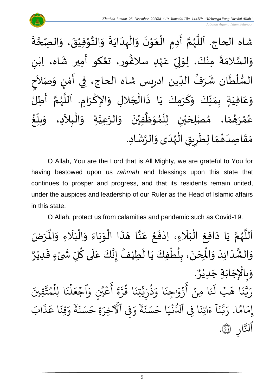$\ddot{\cdot}$ شاه الحاج. اَللَّهُمَّ أَدِمِ الْعَوْنَ وَالْهِدَايَةَ وَالتَّوْفِيْقَ، وَالصِّحَّةَ ن<br>م  $\tilde{\cdot}$  $\ddot{\cdot}$ ំ<br>រ י<br>י ان<br>اب  $\tilde{\cdot}$  $\ddot{\cdot}$  $\ddot{\phantom{0}}$  $\frac{1}{1}$ ֦֧֦֧֦֧֦֧֦֧֦֜֜֜֜֓֓֟֓<br>֧ׅׅׅׅ֝֜֜֜֜֜֜֜֜֜֝֜֜֜֝֜֜֬֟  $\tilde{\cdot}$  $\ddot{\phantom{0}}$ י<br>י  $\overline{\phantom{a}}$ ֦֧֦֧֦֧֦֧֦֧֦֜֜֜֜֓֓֟֓<br>֧ׅׅׅׅ֝֜֜֜֜֜֜֜֜֜֜֝֜֜֜֝֜֜֬ ।<br>।<br>।  $\frac{1}{2}$ ن<br>م و<br>ر<br>ر ا<br>آ َ  $\frac{\nu}{\sqrt{2}}$  $\frac{1}{2}$ وَالسَّلامَةَ مِنْكَ، لِوَلِيِّ عَهْدِ سلاڠُور، ت**ڠك**و أَمِير شَاه، اِبْنِ ل  $\ddot{\ }$ ْ  $\frac{1}{2}$  $\frac{1}{2}$ ا<br>سا  $\frac{1}{2}$ ْ  $\mathbf{r}$ ِ<br>پ )<br>፟<br>፟ ٝ<br>; .<br>م السُّلْطَان شَرَفُ الدِّين ادريس شاه الحاج، فِي أَمْنٍ وَصَلاَحِ  $\frac{1}{\sqrt{2}}$ ُ  $\frac{1}{2}$  $\tilde{\mathbf{r}}$ ٝ<br>ا ر<br>ر<br>ر  $\overline{a}$ ।<br>इ َ  $\frac{1}{2}$ )<br>إ י<br>י ِ<br>پنج -<br>وَعَافِيَةٍ بِمَنَّكَ وَكَرَمِكَ يَا ذَاالْجَلالِ وَالإِكْرَامِ. اَللَّهُمَّ أَطِلُّ  $\frac{1}{2}$ ن<br>م َ<br>ر<br>ر :<br>تا  $\overline{\phantom{a}}$ ।<br>।<br>। ا<br>د  $\frac{1}{2}$  $\overline{\phantom{a}}$ ْ  $\ddot{\cdot}$  $\ddot{\phantom{0}}$ ์<br>-<br>- $\frac{1}{2}$ ِ<br>ِسِ  $\frac{1}{2}$  $\frac{1}{2}$  $\sum_{i=1}^{n}$ َ .<br>م  $\frac{1}{2}$ ֦֧<u>֚</u> عُمْرَ*هُ*مَا، مُصْلِحَيْنِ لِلْمُوَظَّفِيْنَ وَالرَّعِيَّةِ وَالْبِلاَدِ، وَ<sub>ا</sub>  $\frac{1}{2}$ اتا<br>ا ان<br>ا ์  $\ddot{\phantom{0}}$ ់<br>រ ا<br>الم  $\frac{1}{2}$ ,<br>^ ់<br>( ់<br>រ ي  $\overline{\phantom{a}}$  $\frac{1}{2}$  $\frac{1}{\lambda}$  $\frac{1}{2}$ ْ<br>م و<br>م <u>់</u> غ ِّ  $\frac{1}{2}$ بلآ  $\frac{1}{2}$  $\sim$ مَقَاصِدَهُمَا لِطَرِيقِ الْهُدَى وَالرَّشَادِ. ِ<br>په  $\tilde{\cdot}$  $\frac{1}{1}$ ر<br>ر<br>ر ۔<br>أ  $\ddot{\bm{s}}$ <u>ر</u>  $\ddot{\phantom{0}}$ ์  $\frac{9}{\lambda}$ َ  $\frac{1}{2}$  $\frac{1}{2}$ 

O Allah, You are the Lord that is All Mighty, we are grateful to You for having bestowed upon us *rahmah* and blessings upon this state that continues to prosper and progress, and that its residents remain united, under the auspices and leadership of our Ruler as the Head of Islamic affairs in this state.

O Allah, protect us from calamities and pandemic such as Covid-19.

ن<br>م اَللَّهُمَّ يَا دَافِعَ الْبَلَاءِ، اِدْفَعْ عَنَّا هَذَا الْوَبَاءَ وَالْبَلَاءِ وَالْمَرَضَ ر<br>ر<br>ر ا<br>آ ً<br>آ  $\tilde{\cdot}$  $\frac{1}{2}$  $\ddot{\phantom{0}}$  $\frac{1}{2}$ ֦֧֦֧֦֧֦֧֦֧֦֜֜֜֜֓֓֟֓<br>֧ׅׅׅׅ֝֜֜֜֜֜֜֜֜֜֝֜֜֜֜֝֜֜֬  $\ddot{\phantom{0}}$  $\tilde{\phantom{a}}$ اتا<br>ج .<br>م ֦֧<u>֫</u>  $\ddot{\cdot}$ ۫<br>ؙ  $\cdot$ َ ֦֧֦֧֦֧֦֧֦֦֟֜֜֜֜֜֜֜֜֜<br>֧֝֜֜**֓**  $\overline{\phantom{a}}$  $\ddot{\phantom{0}}$  $\frac{1}{2}$ لْبَلَاءِ وَالْمَ  $\tilde{\cdot}$ َ<br>ا  $\frac{1}{1}$ ֦֧֦֧֦֦֧֝<u>֦</u> و<br>م ِ ``<br>وَالْشَّدَائِدَ وَالْمِحَنَ، بِلُطْفِكَ يَا لَطِيْفُ إِنَّكَ عَلَى كُلِّ شَىْءٍ قَدِيْرٌ ٝ<br>ؙ  $\ddot{\ddot{\cdot}}$ ै।<br>प ْ  $\sum$ ِّ.  $\overline{\mathbf{a}}$ .<br>م ن<br>•<br>• ।<br>-<br>-ُ  $\tilde{\mathbf{r}}$ ا<br>با ֦֧֦֧֦֧֦֧֦֧֦֧֦֧֧֦֧֦֧֧֦֧֦֧֦֧֦֧֦֧֝֝֝֟֓֓֝֜֟֓֟֓֝֟֓֟֓֟֓֟֓֟֓֟֓<br>**֧** بر<br>ا <u>ر</u><br>:  $\ddot{\phantom{0}}$  $\overline{\phantom{a}}$ <u>់</u>  $\frac{1}{2}$ َ َ نه<br>په  $\frac{1}{2}$ . و<br>م وَبِالْإِجَابَةِ جَدِيْرٌ ٝ<br>ؙ  $\ddot{\phantom{0}}$  $\ddot{\phantom{0}}$  $\overline{\phantom{a}}$ ֦֧֦֧֦֦֦֧֝<br>֠֩֩֩ ِ<br>پ  $\frac{1}{2}$ قُِيَ ذ ت م ا لِل و<br>م ہ<br>1  $\ddot{\cdot}$ ن ل ہ<br>1  $\frac{1}{2}$ اجُعَ  $\frac{1}{2}$ .<br>م عَيْنِ وَ و<br>م ر<br>م ِ<br>ج أ  $\tilde{\mathbf{z}}$  $rac{1}{2}$ ن<br>ند ر ا ق ور  $\ddot{\cdot}$ تِن ي ِ ذَٰ ..<br>, ر ذ ُ  $\frac{1}{\alpha}$ ا و  $\ddot{\cdot}$ ِجن َٰ  $\frac{1}{\alpha}$ زَوْر <u>ء</u> ِ<br>ج أ <u>ہ</u> ا ِمن  $\ddot{\cdot}$ .<br>ا َل بۡ َ ا ه  $\ddot{\cdot}$ ن<br>ند ر<br>د تن بت<br>ب ِ<br>م ر ا  $\frac{2}{3}$ ام  $\frac{1}{2}$ إِمَامًا.  $\tilde{1}$ ا  $\ddot{\cdot}$ بر<br>ند ز<br>د بت<br>ب ِ<br>ا رَّبَّنَاً ءَاتِنَا فِي ٱلدُّنْيَا حَسَنَةً وَفِي ٱلْأَخِرَةِ حَسَنَةً وَقِنَا عَذَابَ ذ ر<br>م ا ع  $\ddot{\cdot}$ قِنَ  $\frac{1}{\alpha}$ و ׇׇ֦֧֧֧֝<br>֧֛֧֧֧֧֧֦֧֦֧֦֧֦֧֦֧֦֧֦֧֝֓֝֓֝֓֝֓֝֓<br>֧֧֧֝֬ ة  $\ddot{\cdot}$ ِ<br>حَسَنَ ةِ ح ِ<br>په ِفِي الْأَخِرَ  $\frac{1}{2}$ و ֘<br>֧֛֛׆<del>֑</del> ة ِ<br>پ ۔<br>حَسَنَ ا ح  $\frac{1}{1}$ ج<br>نبي  $\ddot{\phantom{0}}$ و<br>سا ا ِِف ٱدل  $\ddot{\cdot}$ اتِن  $\tilde{\zeta}$ ء ِ ار ٱلتَّارِ ۞.